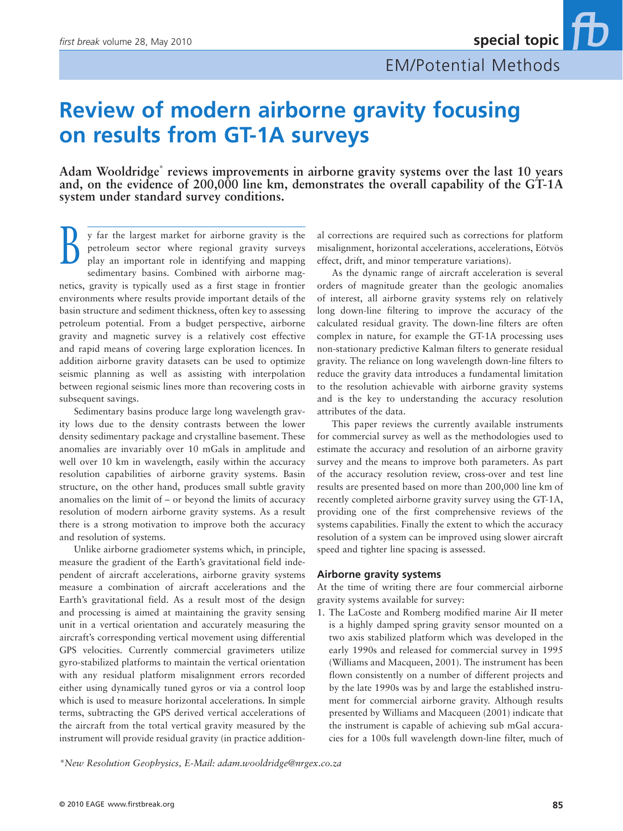# **Review of modern airborne gravity focusing on results from GT-1A surveys**

Adam Wooldridge<sup>\*</sup> reviews improvements in airborne gravity systems over the last 10 years **and, on the evidence of 200,000 line km, demonstrates the overall capability of the GT-1A system under standard survey conditions.**

y far the largest market for airborne gravity is the petroleum sector where regional gravity surveys play an important role in identifying and mapping petroleum sector where regional gravity surveys play an important role in identifying and mapping sedimentary basins. Combined with airborne magnetics, gravity is typically used as a first stage in frontier environments where results provide important details of the basin structure and sediment thickness, often key to assessing petroleum potential. From a budget perspective, airborne gravity and magnetic survey is a relatively cost effective and rapid means of covering large exploration licences. In addition airborne gravity datasets can be used to optimize seismic planning as well as assisting with interpolation between regional seismic lines more than recovering costs in subsequent savings.

Sedimentary basins produce large long wavelength gravity lows due to the density contrasts between the lower density sedimentary package and crystalline basement. These anomalies are invariably over 10 mGals in amplitude and well over 10 km in wavelength, easily within the accuracy resolution capabilities of airborne gravity systems. Basin structure, on the other hand, produces small subtle gravity anomalies on the limit of – or beyond the limits of accuracy resolution of modern airborne gravity systems. As a result there is a strong motivation to improve both the accuracy and resolution of systems.

Unlike airborne gradiometer systems which, in principle, measure the gradient of the Earth's gravitational field independent of aircraft accelerations, airborne gravity systems measure a combination of aircraft accelerations and the Earth's gravitational field. As a result most of the design and processing is aimed at maintaining the gravity sensing unit in a vertical orientation and accurately measuring the aircraft's corresponding vertical movement using differential GPS velocities. Currently commercial gravimeters utilize gyro-stabilized platforms to maintain the vertical orientation with any residual platform misalignment errors recorded either using dynamically tuned gyros or via a control loop which is used to measure horizontal accelerations. In simple terms, subtracting the GPS derived vertical accelerations of the aircraft from the total vertical gravity measured by the instrument will provide residual gravity (in practice addition-

al corrections are required such as corrections for platform misalignment, horizontal accelerations, accelerations, Eötvös effect, drift, and minor temperature variations).

As the dynamic range of aircraft acceleration is several orders of magnitude greater than the geologic anomalies of interest, all airborne gravity systems rely on relatively long down-line filtering to improve the accuracy of the calculated residual gravity. The down-line filters are often complex in nature, for example the GT-1A processing uses non-stationary predictive Kalman filters to generate residual gravity. The reliance on long wavelength down-line filters to reduce the gravity data introduces a fundamental limitation to the resolution achievable with airborne gravity systems and is the key to understanding the accuracy resolution attributes of the data.

This paper reviews the currently available instruments for commercial survey as well as the methodologies used to estimate the accuracy and resolution of an airborne gravity survey and the means to improve both parameters. As part of the accuracy resolution review, cross-over and test line results are presented based on more than 200,000 line km of recently completed airborne gravity survey using the GT-1A, providing one of the first comprehensive reviews of the systems capabilities. Finally the extent to which the accuracy resolution of a system can be improved using slower aircraft speed and tighter line spacing is assessed.

#### **Airborne gravity systems**

At the time of writing there are four commercial airborne gravity systems available for survey:

1. The LaCoste and Romberg modified marine Air II meter is a highly damped spring gravity sensor mounted on a two axis stabilized platform which was developed in the early 1990s and released for commercial survey in 1995 (Williams and Macqueen, 2001). The instrument has been flown consistently on a number of different projects and by the late 1990s was by and large the established instrument for commercial airborne gravity. Although results presented by Williams and Macqueen (2001) indicate that the instrument is capable of achieving sub mGal accuracies for a 100s full wavelength down-line filter, much of

*\*New Resolution Geophysics, E-Mail: adam.wooldridge@nrgex.co.za*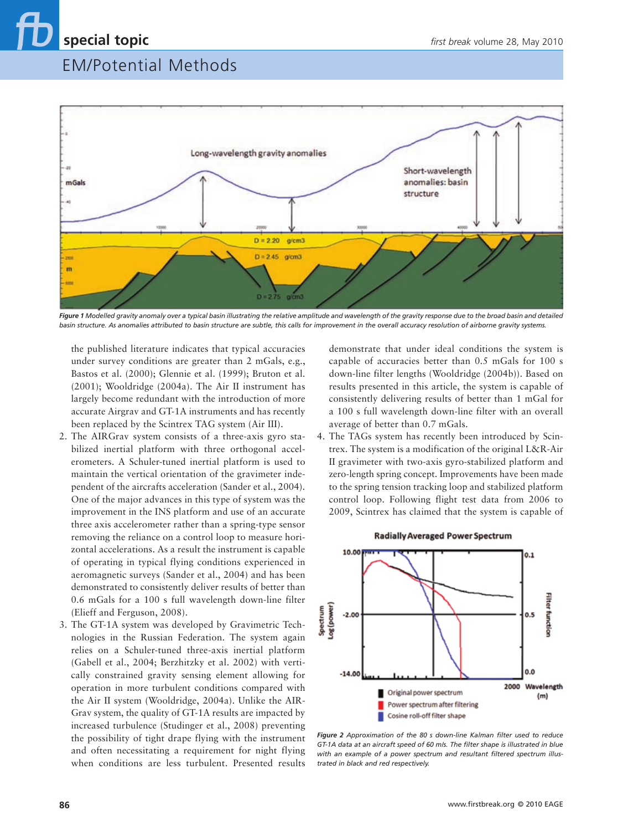

Figure 1<sup></sup> Modelled gravity anomaly over a typical basin illustrating the relative amplitude and wavelength of the gravity response due to the broad basin and detailed *basin structure. As anomalies attributed to basin structure are subtle, this calls for improvement in the overall accuracy resolution of airborne gravity systems.*

the published literature indicates that typical accuracies under survey conditions are greater than 2 mGals, e.g., Bastos et al. (2000); Glennie et al. (1999); Bruton et al. (2001); Wooldridge (2004a). The Air II instrument has largely become redundant with the introduction of more accurate Airgrav and GT-1A instruments and has recently been replaced by the Scintrex TAG system (Air III).

- 2. The AIRGrav system consists of a three-axis gyro stabilized inertial platform with three orthogonal accelerometers. A Schuler-tuned inertial platform is used to maintain the vertical orientation of the gravimeter independent of the aircrafts acceleration (Sander et al., 2004). One of the major advances in this type of system was the improvement in the INS platform and use of an accurate three axis accelerometer rather than a spring-type sensor removing the reliance on a control loop to measure horizontal accelerations. As a result the instrument is capable of operating in typical flying conditions experienced in aeromagnetic surveys (Sander et al., 2004) and has been demonstrated to consistently deliver results of better than 0.6 mGals for a 100 s full wavelength down-line filter (Elieff and Ferguson, 2008).
- 3. The GT-1A system was developed by Gravimetric Technologies in the Russian Federation. The system again relies on a Schuler-tuned three-axis inertial platform (Gabell et al., 2004; Berzhitzky et al. 2002) with vertically constrained gravity sensing element allowing for operation in more turbulent conditions compared with the Air II system (Wooldridge, 2004a). Unlike the AIR-Grav system, the quality of GT-1A results are impacted by increased turbulence (Studinger et al., 2008) preventing the possibility of tight drape flying with the instrument and often necessitating a requirement for night flying when conditions are less turbulent. Presented results

demonstrate that under ideal conditions the system is capable of accuracies better than 0.5 mGals for 100 s down-line filter lengths (Wooldridge (2004b)). Based on results presented in this article, the system is capable of consistently delivering results of better than 1 mGal for a 100 s full wavelength down-line filter with an overall average of better than 0.7 mGals.

4. The TAGs system has recently been introduced by Scintrex. The system is a modification of the original L&R-Air II gravimeter with two-axis gyro-stabilized platform and zero-length spring concept. Improvements have been made to the spring tension tracking loop and stabilized platform control loop. Following flight test data from 2006 to 2009, Scintrex has claimed that the system is capable of



#### **Radially Averaged Power Spectrum**

*Figure 2 Approximation of the 80 s down-line Kalman filter used to reduce GT-1A data at an aircraft speed of 60 m/s. The filter shape is illustrated in blue with an example of a power spectrum and resultant filtered spectrum illustrated in black and red respectively.*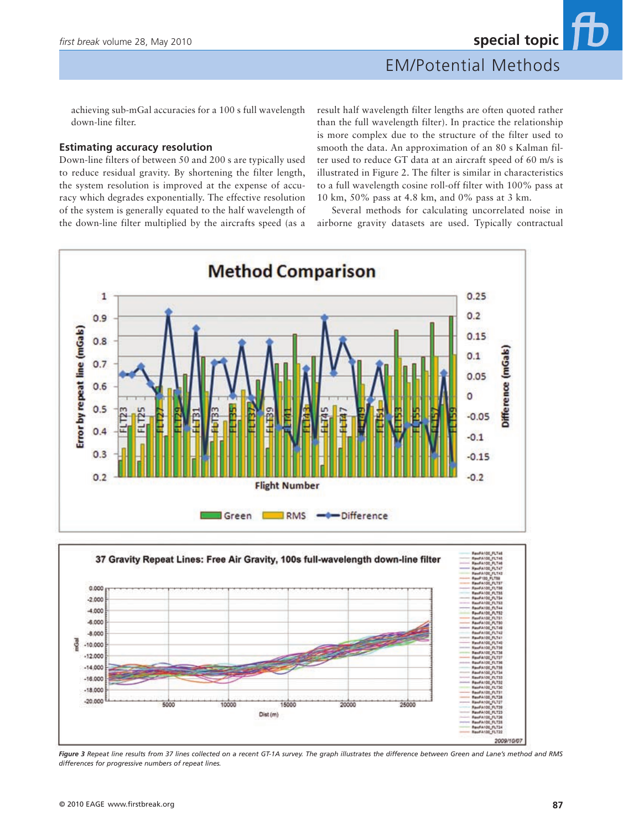achieving sub-mGal accuracies for a 100 s full wavelength down-line filter.

#### **Estimating accuracy resolution**

Down-line filters of between 50 and 200 s are typically used to reduce residual gravity. By shortening the filter length, the system resolution is improved at the expense of accuracy which degrades exponentially. The effective resolution of the system is generally equated to the half wavelength of the down-line filter multiplied by the aircrafts speed (as a result half wavelength filter lengths are often quoted rather than the full wavelength filter). In practice the relationship is more complex due to the structure of the filter used to smooth the data. An approximation of an 80 s Kalman filter used to reduce GT data at an aircraft speed of 60 m/s is illustrated in Figure 2. The filter is similar in characteristics to a full wavelength cosine roll-off filter with 100% pass at 10 km, 50% pass at 4.8 km, and 0% pass at 3 km.

Several methods for calculating uncorrelated noise in airborne gravity datasets are used. Typically contractual



*Figure 3 Repeat line results from 37 lines collected on a recent GT-1A survey. The graph illustrates the difference between Green and Lane's method and RMS differences for progressive numbers of repeat lines.*

20000

15000

Dist (m)

 $25000$ 

5000

10000

2009/10/07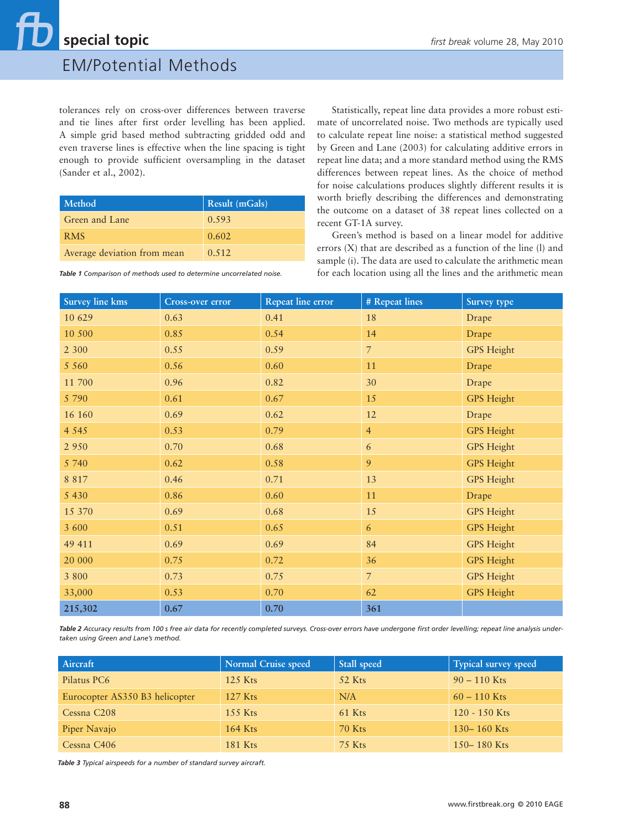# **special topic** *first break* volume 28, May 2010

## EM/Potential Methods

tolerances rely on cross-over differences between traverse and tie lines after first order levelling has been applied. A simple grid based method subtracting gridded odd and even traverse lines is effective when the line spacing is tight enough to provide sufficient oversampling in the dataset (Sander et al., 2002).

| Method                      | Result (mGals) |
|-----------------------------|----------------|
| Green and Lane              | 0.593          |
| <b>RMS</b>                  | 0.602          |
| Average deviation from mean | 0.512          |

Statistically, repeat line data provides a more robust estimate of uncorrelated noise. Two methods are typically used to calculate repeat line noise: a statistical method suggested by Green and Lane (2003) for calculating additive errors in repeat line data; and a more standard method using the RMS differences between repeat lines. As the choice of method for noise calculations produces slightly different results it is worth briefly describing the differences and demonstrating the outcome on a dataset of 38 repeat lines collected on a recent GT-1A survey.

Green's method is based on a linear model for additive errors (X) that are described as a function of the line (l) and sample (i). The data are used to calculate the arithmetic mean for each location using all the lines and the arithmetic mean

| <b>Survey line kms</b> | Cross-over error | Repeat line error | # Repeat lines | Survey type       |
|------------------------|------------------|-------------------|----------------|-------------------|
| 10 629                 | 0.63             | 0.41              | 18             | Drape             |
| 10 500                 | 0.85             | 0.54              | 14             | Drape             |
| 2 3 0 0                | 0.55             | 0.59              | $\overline{7}$ | <b>GPS</b> Height |
| 5 5 6 0                | 0.56             | 0.60              | 11             | Drape             |
| 11 700                 | 0.96             | 0.82              | 30             | Drape             |
| 5 7 9 0                | 0.61             | 0.67              | 15             | <b>GPS</b> Height |
| 16 160                 | 0.69             | 0.62              | 12             | Drape             |
| 4 5 4 5                | 0.53             | 0.79              | $\overline{4}$ | <b>GPS</b> Height |
| 2 9 5 0                | 0.70             | 0.68              | 6              | <b>GPS</b> Height |
| 5 740                  | 0.62             | 0.58              | 9              | <b>GPS</b> Height |
| 8 8 1 7                | 0.46             | 0.71              | 13             | <b>GPS</b> Height |
| 5 4 3 0                | 0.86             | 0.60              | 11             | Drape             |
| 15 370                 | 0.69             | 0.68              | 15             | <b>GPS</b> Height |
| 3 600                  | 0.51             | 0.65              | 6              | <b>GPS</b> Height |
| 49 411                 | 0.69             | 0.69              | 84             | <b>GPS</b> Height |
| 20 000                 | 0.75             | 0.72              | 36             | <b>GPS</b> Height |
| 3 800                  | 0.73             | 0.75              | $\overline{7}$ | <b>GPS</b> Height |
| 33,000                 | 0.53             | 0.70              | 62             | <b>GPS</b> Height |
| 215,302                | 0.67             | 0.70              | 361            |                   |

*Table 1 Comparison of methods used to determine uncorrelated noise.*

Table 2 Accuracy results from 100 s free air data for recently completed surveys. Cross-over errors have undergone first order levelling; repeat line analysis under*taken using Green and Lane's method.*

| Aircraft                       | Normal Cruise speed | Stall speed | <b>Typical survey speed</b> |
|--------------------------------|---------------------|-------------|-----------------------------|
| Pilatus PC6                    | $125$ Kts           | 52 Kts      | $90 - 110$ Kts              |
| Eurocopter AS350 B3 helicopter | $127$ Kts           | N/A         | $60 - 110$ Kts              |
| Cessna C <sub>208</sub>        | $155$ Kts           | 61 Kts      | 120 - 150 Kts               |
| Piper Navajo                   | 164 Kts             | 70 Kts      | 130 – 160 Kts               |
| Cessna C <sub>406</sub>        | <b>181 Kts</b>      | 75 Kts      | 150 – 180 Kts               |

*Table 3 Typical airspeeds for a number of standard survey aircraft.*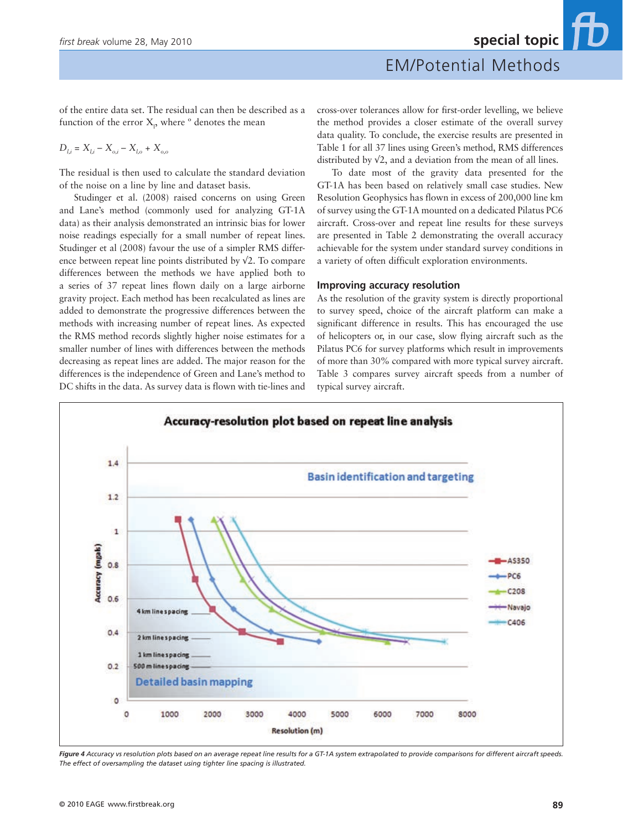of the entire data set. The residual can then be described as a function of the error  $X<sub>p</sub>$ , where  $\degree$  denotes the mean

$$
D_{l,i} = X_{l,i} - X_{o,i} - X_{l,o} + X_{o,o}
$$

The residual is then used to calculate the standard deviation of the noise on a line by line and dataset basis.

Studinger et al. (2008) raised concerns on using Green and Lane's method (commonly used for analyzing GT-1A data) as their analysis demonstrated an intrinsic bias for lower noise readings especially for a small number of repeat lines. Studinger et al (2008) favour the use of a simpler RMS difference between repeat line points distributed by √2. To compare differences between the methods we have applied both to a series of 37 repeat lines flown daily on a large airborne gravity project. Each method has been recalculated as lines are added to demonstrate the progressive differences between the methods with increasing number of repeat lines. As expected the RMS method records slightly higher noise estimates for a smaller number of lines with differences between the methods decreasing as repeat lines are added. The major reason for the differences is the independence of Green and Lane's method to DC shifts in the data. As survey data is flown with tie-lines and cross-over tolerances allow for first-order levelling, we believe the method provides a closer estimate of the overall survey data quality. To conclude, the exercise results are presented in Table 1 for all 37 lines using Green's method, RMS differences distributed by √2, and a deviation from the mean of all lines.

To date most of the gravity data presented for the GT-1A has been based on relatively small case studies. New Resolution Geophysics has flown in excess of 200,000 line km of survey using the GT-1A mounted on a dedicated Pilatus PC6 aircraft. Cross-over and repeat line results for these surveys are presented in Table 2 demonstrating the overall accuracy achievable for the system under standard survey conditions in a variety of often difficult exploration environments.

#### **Improving accuracy resolution**

As the resolution of the gravity system is directly proportional to survey speed, choice of the aircraft platform can make a significant difference in results. This has encouraged the use of helicopters or, in our case, slow flying aircraft such as the Pilatus PC6 for survey platforms which result in improvements of more than 30% compared with more typical survey aircraft. Table 3 compares survey aircraft speeds from a number of typical survey aircraft.



*Figure 4 Accuracy vs resolution plots based on an average repeat line results for a GT-1A system extrapolated to provide comparisons for different aircraft speeds. The effect of oversampling the dataset using tighter line spacing is illustrated.*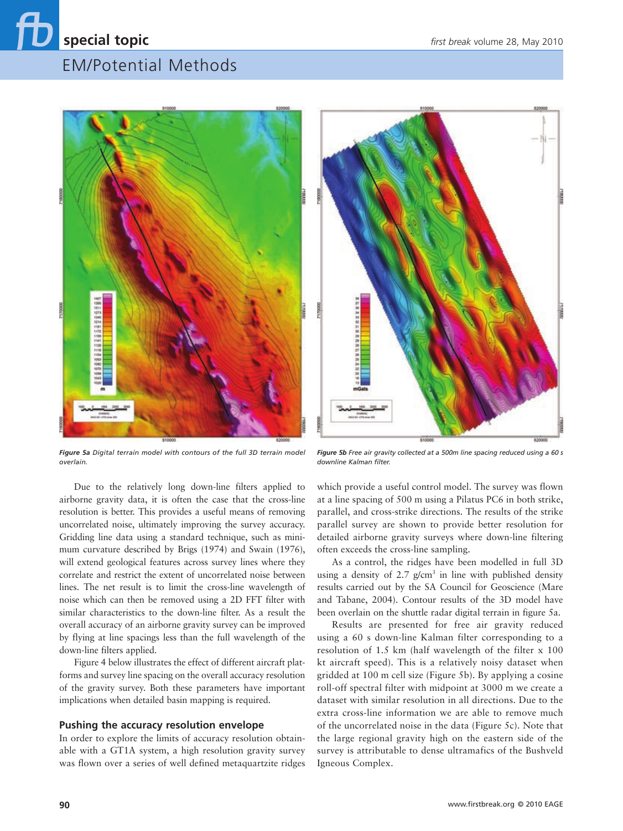



*Figure 5a Digital terrain model with contours of the full 3D terrain model overlain.* 

*Figure 5b Free air gravity collected at a 500m line spacing reduced using a 60 s downline Kalman filter.* 

Due to the relatively long down-line filters applied to airborne gravity data, it is often the case that the cross-line resolution is better. This provides a useful means of removing uncorrelated noise, ultimately improving the survey accuracy. Gridding line data using a standard technique, such as minimum curvature described by Brigs (1974) and Swain (1976), will extend geological features across survey lines where they correlate and restrict the extent of uncorrelated noise between lines. The net result is to limit the cross-line wavelength of noise which can then be removed using a 2D FFT filter with similar characteristics to the down-line filter. As a result the overall accuracy of an airborne gravity survey can be improved by flying at line spacings less than the full wavelength of the down-line filters applied.

Figure 4 below illustrates the effect of different aircraft platforms and survey line spacing on the overall accuracy resolution of the gravity survey. Both these parameters have important implications when detailed basin mapping is required.

#### **Pushing the accuracy resolution envelope**

In order to explore the limits of accuracy resolution obtainable with a GT1A system, a high resolution gravity survey was flown over a series of well defined metaquartzite ridges which provide a useful control model. The survey was flown at a line spacing of 500 m using a Pilatus PC6 in both strike, parallel, and cross-strike directions. The results of the strike parallel survey are shown to provide better resolution for detailed airborne gravity surveys where down-line filtering often exceeds the cross-line sampling.

As a control, the ridges have been modelled in full 3D using a density of  $2.7$  g/cm<sup>3</sup> in line with published density results carried out by the SA Council for Geoscience (Mare and Tabane, 2004). Contour results of the 3D model have been overlain on the shuttle radar digital terrain in figure 5a.

Results are presented for free air gravity reduced using a 60 s down-line Kalman filter corresponding to a resolution of 1.5 km (half wavelength of the filter x 100 kt aircraft speed). This is a relatively noisy dataset when gridded at 100 m cell size (Figure 5b). By applying a cosine roll-off spectral filter with midpoint at 3000 m we create a dataset with similar resolution in all directions. Due to the extra cross-line information we are able to remove much of the uncorrelated noise in the data (Figure 5c). Note that the large regional gravity high on the eastern side of the survey is attributable to dense ultramafics of the Bushveld Igneous Complex.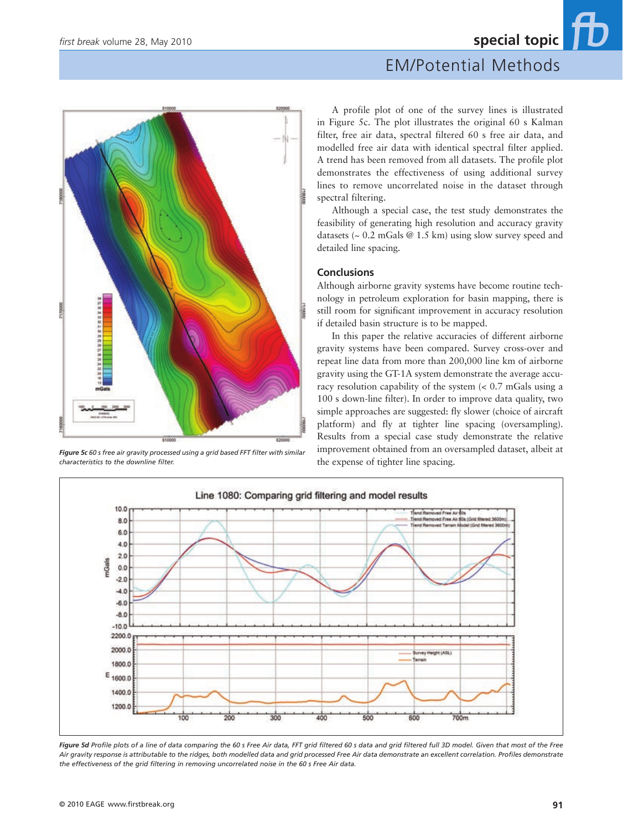# *first break* volume 28, May 2010 **special topic** EM/Potential Methods



*Figure 5c 60 s free air gravity processed using a grid based FFT filter with similar characteristics to the downline filter.*

A profile plot of one of the survey lines is illustrated in Figure 5c. The plot illustrates the original 60 s Kalman filter, free air data, spectral filtered 60 s free air data, and modelled free air data with identical spectral filter applied. A trend has been removed from all datasets. The profile plot demonstrates the effectiveness of using additional survey lines to remove uncorrelated noise in the dataset through spectral filtering.

Although a special case, the test study demonstrates the feasibility of generating high resolution and accuracy gravity datasets (~ 0.2 mGals @ 1.5 km) using slow survey speed and detailed line spacing.

#### **Conclusions**

Although airborne gravity systems have become routine technology in petroleum exploration for basin mapping, there is still room for significant improvement in accuracy resolution if detailed basin structure is to be mapped.

In this paper the relative accuracies of different airborne gravity systems have been compared. Survey cross-over and repeat line data from more than 200,000 line km of airborne gravity using the GT-1A system demonstrate the average accuracy resolution capability of the system (< 0.7 mGals using a 100 s down-line filter). In order to improve data quality, two simple approaches are suggested: fly slower (choice of aircraft platform) and fly at tighter line spacing (oversampling). Results from a special case study demonstrate the relative improvement obtained from an oversampled dataset, albeit at the expense of tighter line spacing.



*Figure 5d Profile plots of a line of data comparing the 60 s Free Air data, FFT grid filtered 60 s data and grid filtered full 3D model. Given that most of the Free Air gravity response is attributable to the ridges, both modelled data and grid processed Free Air data demonstrate an excellent correlation. Profiles demonstrate the effectiveness of the grid filtering in removing uncorrelated noise in the 60 s Free Air data.*